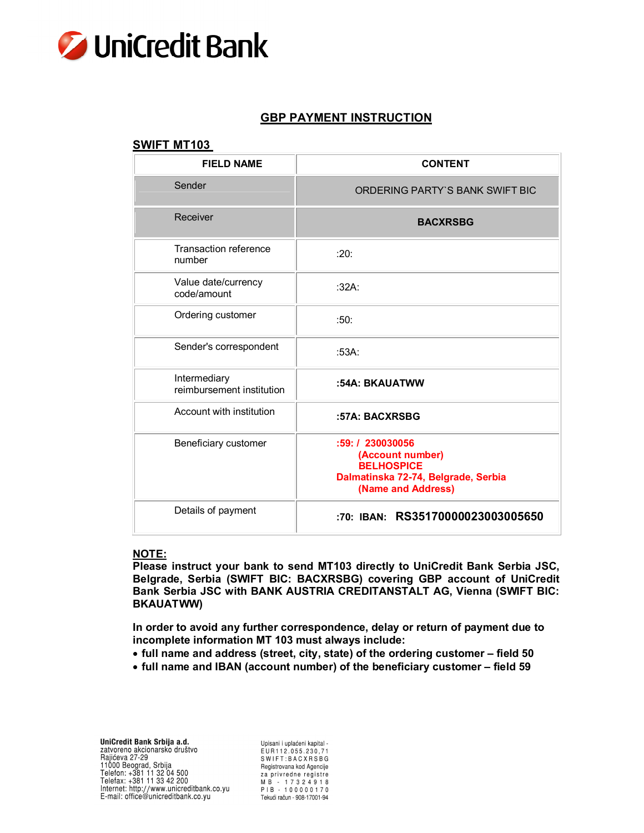

# **GBP PAYMENT INSTRUCTION**

### **SWIFT MT103**

| <b>FIELD NAME</b>                         | <b>CONTENT</b>                                                                                                         |
|-------------------------------------------|------------------------------------------------------------------------------------------------------------------------|
| Sender                                    | ORDERING PARTY'S BANK SWIFT BIC                                                                                        |
| Receiver                                  | <b>BACXRSBG</b>                                                                                                        |
| Transaction reference<br>number           | :20:                                                                                                                   |
| Value date/currency<br>code/amount        | :32A:                                                                                                                  |
| Ordering customer                         | :50:                                                                                                                   |
| Sender's correspondent                    | :53A.                                                                                                                  |
| Intermediary<br>reimbursement institution | :54A: BKAUATWW                                                                                                         |
| Account with institution                  | :57A: BACXRSBG                                                                                                         |
| Beneficiary customer                      | :59: / 230030056<br>(Account number)<br><b>BELHOSPICE</b><br>Dalmatinska 72-74, Belgrade, Serbia<br>(Name and Address) |
| Details of payment                        | :70: IBAN: RS35170000023003005650                                                                                      |

#### **NOTE:**

**Please instruct your bank to send MT103 directly to UniCredit Bank Serbia JSC, Belgrade, Serbia (SWIFT BIC: BACXRSBG) covering GBP account of UniCredit Bank Serbia JSC with BANK AUSTRIA CREDITANSTALT AG, Vienna (SWIFT BIC: BKAUATWW)**

**In order to avoid any further correspondence, delay or return of payment due to incomplete information MT 103 must always include:**

- **full name and address (street, city, state) of the ordering customer – field 50**
- **full name and IBAN (account number) of the beneficiary customer – field 59**

Upisani i uplaćeni kapital -EUR112.055.230.71 SWIFT:BACXRSBG Registrovana kod Agencije za privredne registre M B - 17324918<br>PIB - 100000170 PIB - 100000170<br>Tekući račun - 908-17001-94